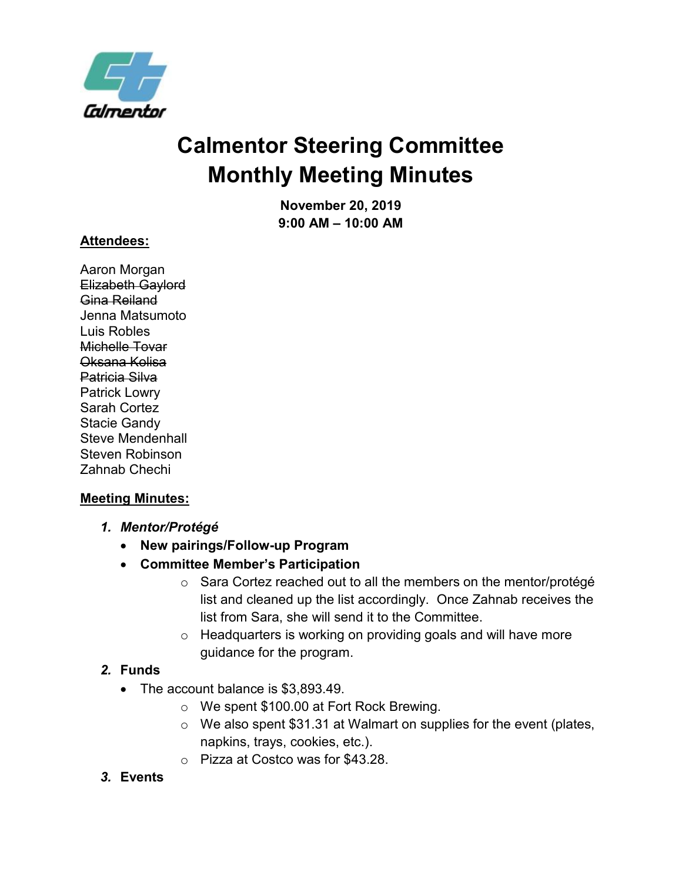

# **Calmentor Steering Committee Monthly Meeting Minutes**

**November 20, 2019 9:00 AM – 10:00 AM**

#### **Attendees:**

Aaron Morgan Elizabeth Gaylord Gina Reiland Jenna Matsumoto Luis Robles Michelle Tovar Oksana Kolisa Patricia Silva Patrick Lowry Sarah Cortez Stacie Gandy Steve Mendenhall Steven Robinson Zahnab Chechi

#### **Meeting Minutes:**

- *1. Mentor/Protégé*
	- **New pairings/Follow-up Program**
	- **Committee Member's Participation**
		- o Sara Cortez reached out to all the members on the mentor/protégé list and cleaned up the list accordingly. Once Zahnab receives the list from Sara, she will send it to the Committee.
		- o Headquarters is working on providing goals and will have more guidance for the program.

#### *2.* **Funds**

- The account balance is \$3,893.49.
	- o We spent \$100.00 at Fort Rock Brewing.
	- o We also spent \$31.31 at Walmart on supplies for the event (plates, napkins, trays, cookies, etc.).
	- o Pizza at Costco was for \$43.28.

#### *3.* **Events**